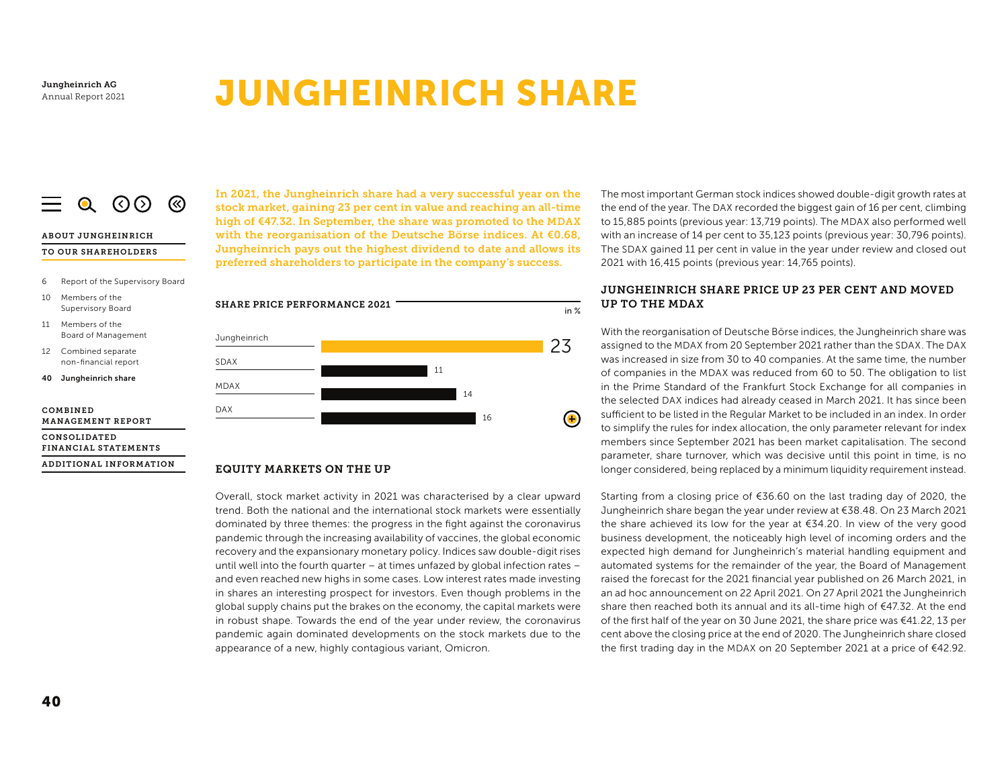# **JUNGHEINRICH SHARE**

#### $Q$   $\odot$   $\odot$   $\odot$  $\equiv$

# **ABOUT JUNGHEINRICH**

#### TO OUR SHAREHOLDERS

- 6 Report of the Supervisory Board
- $10<sup>1</sup>$ Members of the Supervisory Board
- 11 Members of the **Board of Management**
- 12 Combined separate non-financial report
- 40 Jungheinrich share

COMBINED **MANAGEMENT REPORT** 

CONSOLIDATED FINANCIAL STATEMENTS

ADDITIONAL INFORMATION

In 2021, the Jungheinrich share had a very successful year on the stock market, gaining 23 per cent in value and reaching an all-time high of €47.32. In September, the share was promoted to the MDAX with the reorganisation of the Deutsche Börse indices. At  $€0.68$ , Jungheinrich pays out the highest dividend to date and allows its preferred shareholders to participate in the company's success.



#### **EQUITY MARKETS ON THE UP**

Overall, stock market activity in 2021 was characterised by a clear upward trend. Both the national and the international stock markets were essentially dominated by three themes: the progress in the fight against the coronavirus pandemic through the increasing availability of vaccines, the global economic recovery and the expansionary monetary policy. Indices saw double-digit rises until well into the fourth quarter - at times unfazed by global infection rates and even reached new highs in some cases. Low interest rates made investing in shares an interesting prospect for investors. Even though problems in the global supply chains put the brakes on the economy, the capital markets were in robust shape. Towards the end of the year under review, the coronavirus pandemic again dominated developments on the stock markets due to the appearance of a new, highly contagious variant, Omicron.

The most important German stock indices showed double-digit growth rates at the end of the year. The DAX recorded the biggest gain of 16 per cent, climbing to 15,885 points (previous year: 13,719 points). The MDAX also performed well with an increase of 14 per cent to 35,123 points (previous year: 30,796 points). The SDAX gained 11 per cent in value in the year under review and closed out 2021 with 16,415 points (previous year: 14,765 points).

# JUNGHEINRICH SHARE PRICE UP 23 PER CENT AND MOVED UP TO THE MDAX

With the reorganisation of Deutsche Börse indices, the Jungheinrich share was assigned to the MDAX from 20 September 2021 rather than the SDAX. The DAX was increased in size from 30 to 40 companies. At the same time, the number of companies in the MDAX was reduced from 60 to 50. The obligation to list in the Prime Standard of the Frankfurt Stock Exchange for all companies in the selected DAX indices had already ceased in March 2021. It has since been sufficient to be listed in the Regular Market to be included in an index. In order to simplify the rules for index allocation, the only parameter relevant for index members since September 2021 has been market capitalisation. The second parameter, share turnover, which was decisive until this point in time, is no longer considered, being replaced by a minimum liquidity requirement instead.

Starting from a closing price of €36.60 on the last trading day of 2020, the Jungheinrich share began the year under review at €38.48. On 23 March 2021 the share achieved its low for the year at €34.20. In view of the very good business development, the noticeably high level of incoming orders and the expected high demand for Jungheinrich's material handling equipment and automated systems for the remainder of the year, the Board of Management raised the forecast for the 2021 financial year published on 26 March 2021, in an ad hoc announcement on 22 April 2021. On 27 April 2021 the Jungheinrich share then reached both its annual and its all-time high of €47.32. At the end of the first half of the year on 30 June 2021, the share price was  $\epsilon$ 41.22, 13 per cent above the closing price at the end of 2020. The Jungheinrich share closed the first trading day in the MDAX on 20 September 2021 at a price of €42.92.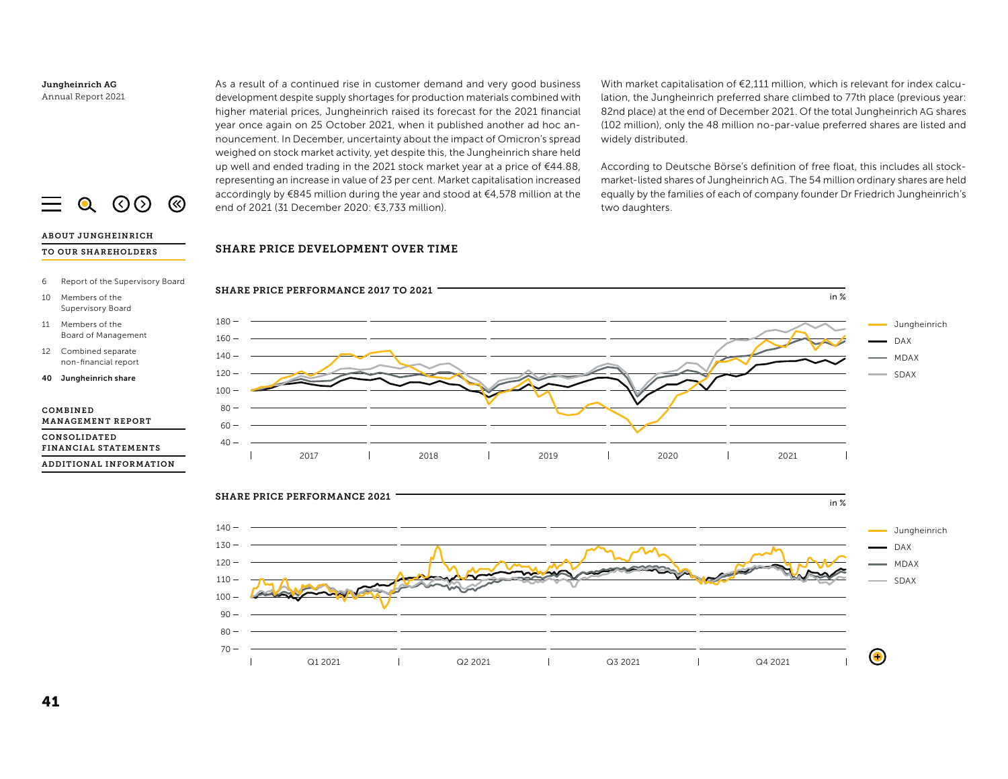As a result of a continued rise in customer demand and very good business development despite supply shortages for production materials combined with higher material prices, Jungheinrich raised its forecast for the 2021 financial year once again on 25 October 2021, when it published another ad hoc announcement. In December, uncertainty about the impact of Omicron's spread weighed on stock market activity, yet despite this, the Jungheinrich share held up well and ended trading in the 2021 stock market year at a price of €44.88. representing an increase in value of 23 per cent. Market capitalisation increased accordingly by €845 million during the year and stood at €4,578 million at the end of 2021 (31 December 2020: €3,733 million).

With market capitalisation of €2,111 million, which is relevant for index calculation, the Jungheinrich preferred share climbed to 77th place (previous year: 82nd place) at the end of December 2021. Of the total Jungheinrich AG shares (102 million), only the 48 million no-par-value preferred shares are listed and widely distributed.

According to Deutsche Börse's definition of free float, this includes all stockmarket-listed shares of Jungheinrich AG. The 54 million ordinary shares are held equally by the families of each of company founder Dr Friedrich Jungheinrich's two daughters.

### SHARE PRICE DEVELOPMENT OVER TIME





 $\equiv$  $Q$   $Q$   $Q$ ⊗

#### **ABOUT JUNGHEINRICH** TO OUR SHAREHOLDERS

- Report of the Supervisory Board 6
- 10 Members of the Supervisory Board
- 11 Members of the **Board of Management**
- 12 Combined separate non-financial report

40 Jungheinrich share

#### COMBINED **MANAGEMENT REPORT**

CONSOLIDATED FINANCIAL STATEMENTS

ADDITIONAL INFORMATION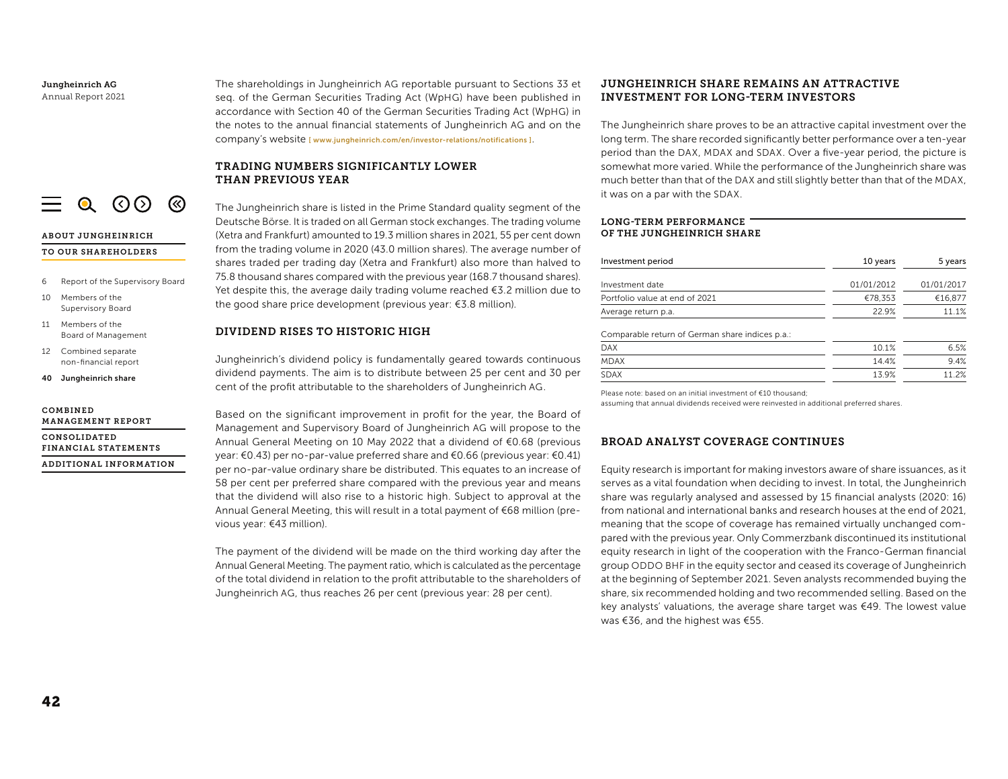$\equiv$  0.000

#### ABOUT JUNGHEINRICH TO OUR SHAREHOLDERS

- 6 Report of the Supervisory Board
- $10<sup>1</sup>$ Members of the Supervisory Board
- 11 Members of the **Board of Management**
- 12 Combined separate non-financial report
- 40 Jungheinrich share

#### COMBINED **MANAGEMENT REPORT**

CONSOLIDATED FINANCIAL STATEMENTS

ADDITIONAL INFORMATION

The shareholdings in Jungheinrich AG reportable pursuant to Sections 33 et seq. of the German Securities Trading Act (WpHG) have been published in accordance with Section 40 of the German Securities Trading Act (WpHG) in the notes to the annual financial statements of Jungheinrich AG and on the COMDANY's Website [www.jungheinrich.com/en/investor-relations/notifications].

## TRADING NUMBERS SIGNIFICANTLY LOWER THAN PREVIOUS YEAR

The Jungheinrich share is listed in the Prime Standard quality segment of the Deutsche Börse. It is traded on all German stock exchanges. The trading volume (Xetra and Frankfurt) amounted to 19.3 million shares in 2021, 55 per cent down from the trading volume in 2020 (43.0 million shares). The average number of shares traded per trading day (Xetra and Frankfurt) also more than halved to 75.8 thousand shares compared with the previous year (168.7 thousand shares). Yet despite this, the average daily trading volume reached  $63.2$  million due to the good share price development (previous year: €3.8 million).

#### DIVIDEND RISES TO HISTORIC HIGH

Jungheinrich's dividend policy is fundamentally geared towards continuous dividend payments. The aim is to distribute between 25 per cent and 30 per cent of the profit attributable to the shareholders of Jungheinrich AG.

Based on the significant improvement in profit for the year, the Board of Management and Supervisory Board of Jungheinrich AG will propose to the Annual General Meeting on 10 May 2022 that a dividend of €0.68 (previous year: €0.43) per no-par-value preferred share and €0.66 (previous year: €0.41) per no-par-value ordinary share be distributed. This equates to an increase of 58 per cent per preferred share compared with the previous year and means that the dividend will also rise to a historic high. Subject to approval at the Annual General Meeting, this will result in a total payment of €68 million (previous year: €43 million).

The payment of the dividend will be made on the third working day after the Annual General Meeting. The payment ratio, which is calculated as the percentage of the total dividend in relation to the profit attributable to the shareholders of Jungheinrich AG, thus reaches 26 per cent (previous year: 28 per cent).

# JUNGHEINRICH SHARE REMAINS AN ATTRACTIVE **INVESTMENT FOR LONG-TERM INVESTORS**

The Jungheinrich share proves to be an attractive capital investment over the long term. The share recorded significantly better performance over a ten-year period than the DAX, MDAX and SDAX. Over a five-year period, the picture is somewhat more varied. While the performance of the Jungheinrich share was much better than that of the DAX and still slightly better than that of the MDAX, it was on a par with the SDAX.

#### LONG-TERM PERFORMANCE OF THE JUNGHEINRICH SHARE

| Investment period              | 10 years   | 5 years    |  |
|--------------------------------|------------|------------|--|
| Investment date                | 01/01/2012 | 01/01/2017 |  |
| Portfolio value at end of 2021 | €78.353    | €16.877    |  |
| Average return p.a.            | 22.9%      | 11.1%      |  |

Comparable return of German share indices p.a.:

| <b>DAX</b>  | 10.1% | 6.5% |
|-------------|-------|------|
| <b>MDAX</b> | 14.4% | 9.4% |
| <b>SDAX</b> | 13.9% | 1.2% |

Please note: based on an initial investment of €10 thousand;

assuming that annual dividends received were reinvested in additional preferred shares.

## **BROAD ANALYST COVERAGE CONTINUES**

Equity research is important for making investors aware of share issuances, as it serves as a vital foundation when deciding to invest. In total, the Jungheinrich share was regularly analysed and assessed by 15 financial analysts (2020: 16) from national and international banks and research houses at the end of 2021. meaning that the scope of coverage has remained virtually unchanged compared with the previous year. Only Commerzbank discontinued its institutional equity research in light of the cooperation with the Franco-German financial group ODDO BHF in the equity sector and ceased its coverage of Jungheinrich at the beginning of September 2021. Seven analysts recommended buying the share, six recommended holding and two recommended selling. Based on the key analysts' valuations, the average share target was €49. The lowest value was €36, and the highest was €55.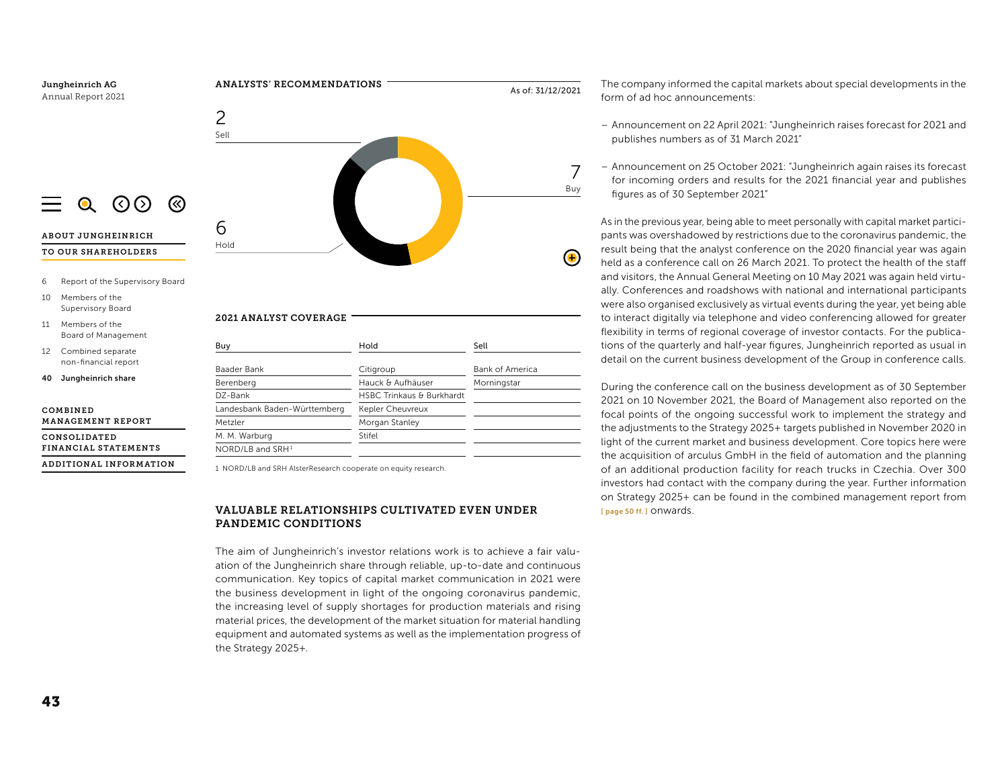

# VALUABLE RELATIONSHIPS CULTIVATED EVEN UNDER PANDEMIC CONDITIONS

The aim of Jungheinrich's investor relations work is to achieve a fair valuation of the Jungheinrich share through reliable, up-to-date and continuous communication. Key topics of capital market communication in 2021 were the business development in light of the ongoing coronavirus pandemic, the increasing level of supply shortages for production materials and rising material prices, the development of the market situation for material handling equipment and automated systems as well as the implementation progress of the Strategy 2025+.

The company informed the capital markets about special developments in the form of ad hoc announcements:

- Announcement on 22 April 2021: "Jungheinrich raises forecast for 2021 and publishes numbers as of 31 March 2021"
- Announcement on 25 October 2021: "Jungheinrich again raises its forecast for incoming orders and results for the 2021 financial year and publishes figures as of 30 September 2021"

As in the previous year, being able to meet personally with capital market participants was overshadowed by restrictions due to the coronavirus pandemic, the result being that the analyst conference on the 2020 financial year was again held as a conference call on 26 March 2021. To protect the health of the staff and visitors, the Annual General Meeting on 10 May 2021 was again held virtually. Conferences and roadshows with national and international participants were also organised exclusively as virtual events during the year, yet being able to interact digitally via telephone and video conferencing allowed for greater flexibility in terms of regional coverage of investor contacts. For the publications of the quarterly and half-year figures, Jungheinrich reported as usual in detail on the current business development of the Group in conference calls.

During the conference call on the business development as of 30 September 2021 on 10 November 2021, the Board of Management also reported on the focal points of the ongoing successful work to implement the strategy and the adjustments to the Strategy 2025+ targets published in November 2020 in light of the current market and business development. Core topics here were the acquisition of arculus GmbH in the field of automation and the planning of an additional production facility for reach trucks in Czechia. Over 300 investors had contact with the company during the year. Further information on Strategy 2025+ can be found in the combined management report from T page 50 ff. 1 ONWards.